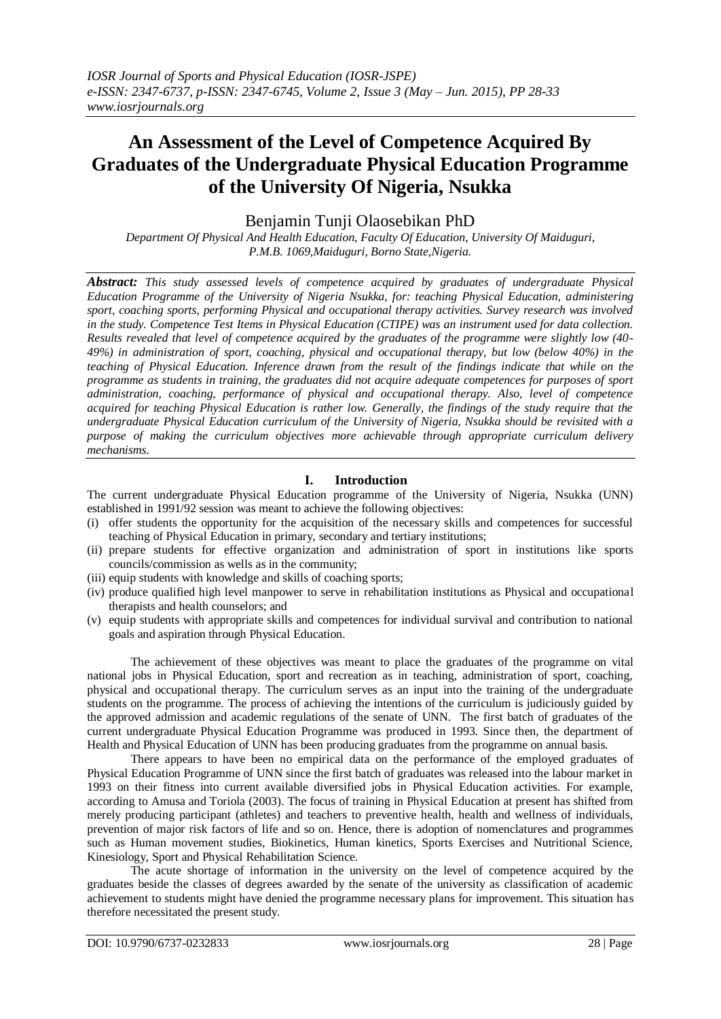# **An Assessment of the Level of Competence Acquired By Graduates of the Undergraduate Physical Education Programme of the University Of Nigeria, Nsukka**

Benjamin Tunji Olaosebikan PhD

*Department Of Physical And Health Education, Faculty Of Education, University Of Maiduguri, P.M.B. 1069,Maiduguri, Borno State,Nigeria.*

*Abstract: This study assessed levels of competence acquired by graduates of undergraduate Physical Education Programme of the University of Nigeria Nsukka, for: teaching Physical Education, administering sport, coaching sports, performing Physical and occupational therapy activities. Survey research was involved in the study. Competence Test Items in Physical Education (CTIPE) was an instrument used for data collection. Results revealed that level of competence acquired by the graduates of the programme were slightly low (40- 49%) in administration of sport, coaching, physical and occupational therapy, but low (below 40%) in the teaching of Physical Education. Inference drawn from the result of the findings indicate that while on the programme as students in training, the graduates did not acquire adequate competences for purposes of sport administration, coaching, performance of physical and occupational therapy. Also, level of competence acquired for teaching Physical Education is rather low. Generally, the findings of the study require that the undergraduate Physical Education curriculum of the University of Nigeria, Nsukka should be revisited with a purpose of making the curriculum objectives more achievable through appropriate curriculum delivery mechanisms.* 

## **I. Introduction**

The current undergraduate Physical Education programme of the University of Nigeria, Nsukka (UNN) established in 1991/92 session was meant to achieve the following objectives:

- (i) offer students the opportunity for the acquisition of the necessary skills and competences for successful teaching of Physical Education in primary, secondary and tertiary institutions;
- (ii) prepare students for effective organization and administration of sport in institutions like sports councils/commission as wells as in the community;
- (iii) equip students with knowledge and skills of coaching sports;
- (iv) produce qualified high level manpower to serve in rehabilitation institutions as Physical and occupational therapists and health counselors; and
- (v) equip students with appropriate skills and competences for individual survival and contribution to national goals and aspiration through Physical Education.

The achievement of these objectives was meant to place the graduates of the programme on vital national jobs in Physical Education, sport and recreation as in teaching, administration of sport, coaching, physical and occupational therapy. The curriculum serves as an input into the training of the undergraduate students on the programme. The process of achieving the intentions of the curriculum is judiciously guided by the approved admission and academic regulations of the senate of UNN. The first batch of graduates of the current undergraduate Physical Education Programme was produced in 1993. Since then, the department of Health and Physical Education of UNN has been producing graduates from the programme on annual basis.

There appears to have been no empirical data on the performance of the employed graduates of Physical Education Programme of UNN since the first batch of graduates was released into the labour market in 1993 on their fitness into current available diversified jobs in Physical Education activities. For example, according to Amusa and Toriola (2003). The focus of training in Physical Education at present has shifted from merely producing participant (athletes) and teachers to preventive health, health and wellness of individuals, prevention of major risk factors of life and so on. Hence, there is adoption of nomenclatures and programmes such as Human movement studies, Biokinetics, Human kinetics, Sports Exercises and Nutritional Science, Kinesiology, Sport and Physical Rehabilitation Science.

The acute shortage of information in the university on the level of competence acquired by the graduates beside the classes of degrees awarded by the senate of the university as classification of academic achievement to students might have denied the programme necessary plans for improvement. This situation has therefore necessitated the present study.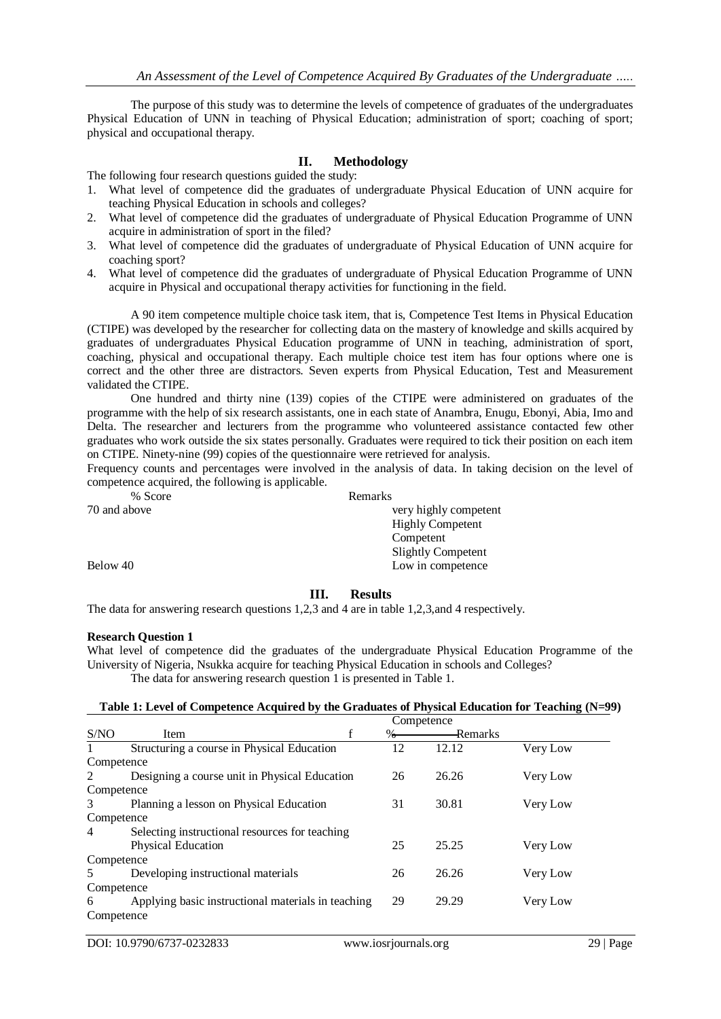The purpose of this study was to determine the levels of competence of graduates of the undergraduates Physical Education of UNN in teaching of Physical Education; administration of sport; coaching of sport; physical and occupational therapy.

## **II. Methodology**

The following four research questions guided the study:

- 1. What level of competence did the graduates of undergraduate Physical Education of UNN acquire for teaching Physical Education in schools and colleges?
- 2. What level of competence did the graduates of undergraduate of Physical Education Programme of UNN acquire in administration of sport in the filed?
- 3. What level of competence did the graduates of undergraduate of Physical Education of UNN acquire for coaching sport?
- 4. What level of competence did the graduates of undergraduate of Physical Education Programme of UNN acquire in Physical and occupational therapy activities for functioning in the field.

A 90 item competence multiple choice task item, that is, Competence Test Items in Physical Education (CTIPE) was developed by the researcher for collecting data on the mastery of knowledge and skills acquired by graduates of undergraduates Physical Education programme of UNN in teaching, administration of sport, coaching, physical and occupational therapy. Each multiple choice test item has four options where one is correct and the other three are distractors. Seven experts from Physical Education, Test and Measurement validated the CTIPE.

One hundred and thirty nine (139) copies of the CTIPE were administered on graduates of the programme with the help of six research assistants, one in each state of Anambra, Enugu, Ebonyi, Abia, Imo and Delta. The researcher and lecturers from the programme who volunteered assistance contacted few other graduates who work outside the six states personally. Graduates were required to tick their position on each item on CTIPE. Ninety-nine (99) copies of the questionnaire were retrieved for analysis.

Frequency counts and percentages were involved in the analysis of data. In taking decision on the level of competence acquired, the following is applicable.

| % Score      | Remarks                   |
|--------------|---------------------------|
| 70 and above | very highly competent     |
|              | <b>Highly Competent</b>   |
|              | Competent                 |
|              | <b>Slightly Competent</b> |
| Below 40     | Low in competence         |
|              |                           |

## **III. Results**

The data for answering research questions 1,2,3 and 4 are in table 1,2,3,and 4 respectively.

#### **Research Question 1**

What level of competence did the graduates of the undergraduate Physical Education Programme of the University of Nigeria, Nsukka acquire for teaching Physical Education in schools and Colleges? The data for answering research question 1 is presented in Table 1.

#### **Table 1: Level of Competence Acquired by the Graduates of Physical Education for Teaching (N=99)**

|            |                                                    | Competence |               |          |          |
|------------|----------------------------------------------------|------------|---------------|----------|----------|
| S/NO       | Item                                               | f          | $\frac{0}{0}$ | —Remarks |          |
|            | Structuring a course in Physical Education         |            | 12            | 12.12    | Very Low |
| Competence |                                                    |            |               |          |          |
| 2          | Designing a course unit in Physical Education      |            | 26            | 26.26    | Very Low |
| Competence |                                                    |            |               |          |          |
| 3          | Planning a lesson on Physical Education            |            | 31            | 30.81    | Very Low |
| Competence |                                                    |            |               |          |          |
| 4          | Selecting instructional resources for teaching     |            |               |          |          |
|            | <b>Physical Education</b>                          |            | 25            | 25.25    | Very Low |
| Competence |                                                    |            |               |          |          |
| 5          | Developing instructional materials                 |            | 26            | 26.26    | Very Low |
| Competence |                                                    |            |               |          |          |
| 6          | Applying basic instructional materials in teaching |            | 29            | 29.29    | Very Low |
| Competence |                                                    |            |               |          |          |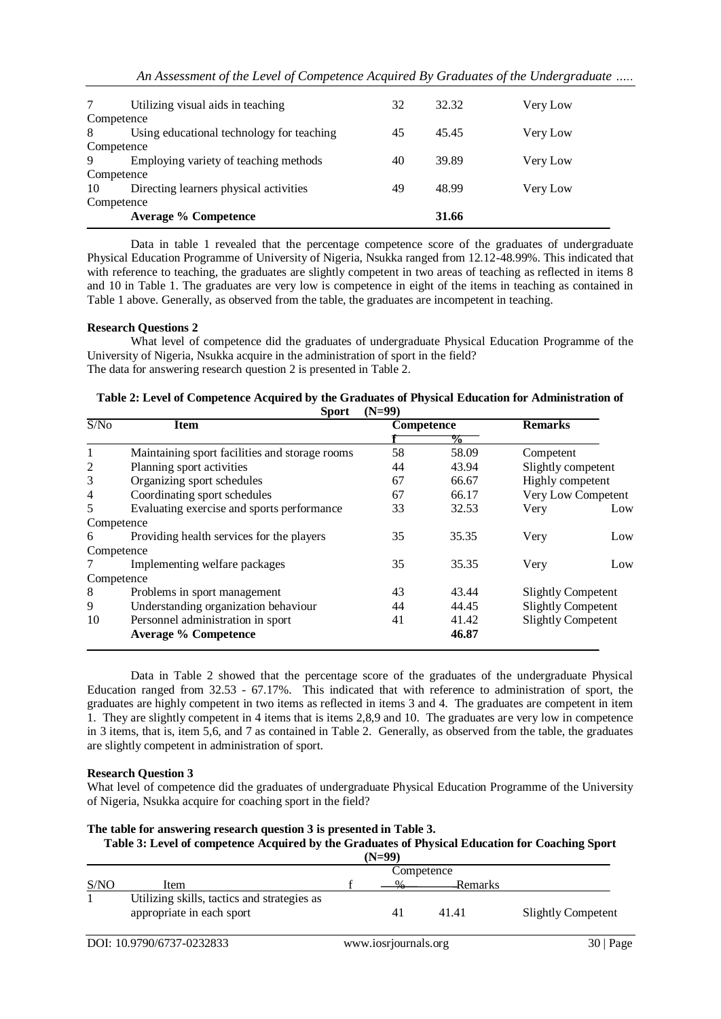| 7          | Utilizing visual aids in teaching         | 32 | 32.32 | Very Low |  |
|------------|-------------------------------------------|----|-------|----------|--|
| Competence |                                           |    |       |          |  |
| 8          | Using educational technology for teaching | 45 | 45.45 | Very Low |  |
| Competence |                                           |    |       |          |  |
| 9          | Employing variety of teaching methods     | 40 | 39.89 | Very Low |  |
|            | Competence                                |    |       |          |  |
| 10         | Directing learners physical activities    | 49 | 48.99 | Very Low |  |
| Competence |                                           |    |       |          |  |
|            | <b>Average % Competence</b>               |    | 31.66 |          |  |

Data in table 1 revealed that the percentage competence score of the graduates of undergraduate Physical Education Programme of University of Nigeria, Nsukka ranged from 12.12-48.99%. This indicated that with reference to teaching, the graduates are slightly competent in two areas of teaching as reflected in items 8 and 10 in Table 1. The graduates are very low is competence in eight of the items in teaching as contained in Table 1 above. Generally, as observed from the table, the graduates are incompetent in teaching.

## **Research Questions 2**

What level of competence did the graduates of undergraduate Physical Education Programme of the University of Nigeria, Nsukka acquire in the administration of sport in the field? The data for answering research question 2 is presented in Table 2.

| Table 2: Level of Competence Acquired by the Graduates of Physical Education for Administration of |                |  |
|----------------------------------------------------------------------------------------------------|----------------|--|
|                                                                                                    | Sport $(N=99)$ |  |

| S/No           | <b>Item</b>                                    | <b>Competence</b> |                | <b>Remarks</b>            |                    |
|----------------|------------------------------------------------|-------------------|----------------|---------------------------|--------------------|
|                |                                                |                   | $\frac{6}{10}$ |                           |                    |
| 1              | Maintaining sport facilities and storage rooms | 58                | 58.09          | Competent                 |                    |
| $\overline{2}$ | Planning sport activities                      | 44                | 43.94          | Slightly competent        |                    |
| 3              | Organizing sport schedules                     | 67                | 66.67          | Highly competent          |                    |
| $\overline{4}$ | Coordinating sport schedules                   | 67                | 66.17          |                           | Very Low Competent |
| 5              | Evaluating exercise and sports performance     | 33                | 32.53          | Very                      | Low                |
| Competence     |                                                |                   |                |                           |                    |
| 6              | Providing health services for the players      | 35                | 35.35          | Very                      | Low                |
| Competence     |                                                |                   |                |                           |                    |
|                | Implementing welfare packages                  | 35                | 35.35          | Very                      | Low                |
| Competence     |                                                |                   |                |                           |                    |
| 8              | Problems in sport management                   | 43                | 43.44          | <b>Slightly Competent</b> |                    |
| 9              | Understanding organization behaviour           | 44                | 44.45          | <b>Slightly Competent</b> |                    |
| 10             | Personnel administration in sport              | 41                | 41.42          | <b>Slightly Competent</b> |                    |
|                | <b>Average % Competence</b>                    |                   | 46.87          |                           |                    |

Data in Table 2 showed that the percentage score of the graduates of the undergraduate Physical Education ranged from 32.53 - 67.17%. This indicated that with reference to administration of sport, the graduates are highly competent in two items as reflected in items 3 and 4. The graduates are competent in item 1. They are slightly competent in 4 items that is items 2,8,9 and 10. The graduates are very low in competence in 3 items, that is, item 5,6, and 7 as contained in Table 2. Generally, as observed from the table, the graduates are slightly competent in administration of sport.

#### **Research Question 3**

What level of competence did the graduates of undergraduate Physical Education Programme of the University of Nigeria, Nsukka acquire for coaching sport in the field?

## **The table for answering research question 3 is presented in Table 3.**

**Table 3: Level of competence Acquired by the Graduates of Physical Education for Coaching Sport (N=99)**

|      |                                                                          |  | いミソソル |          |                           |  |
|------|--------------------------------------------------------------------------|--|-------|----------|---------------------------|--|
|      | Competence                                                               |  |       |          |                           |  |
| S/NO | Item                                                                     |  |       | -Remarks |                           |  |
|      | Utilizing skills, tactics and strategies as<br>appropriate in each sport |  |       | 41.41    | <b>Slightly Competent</b> |  |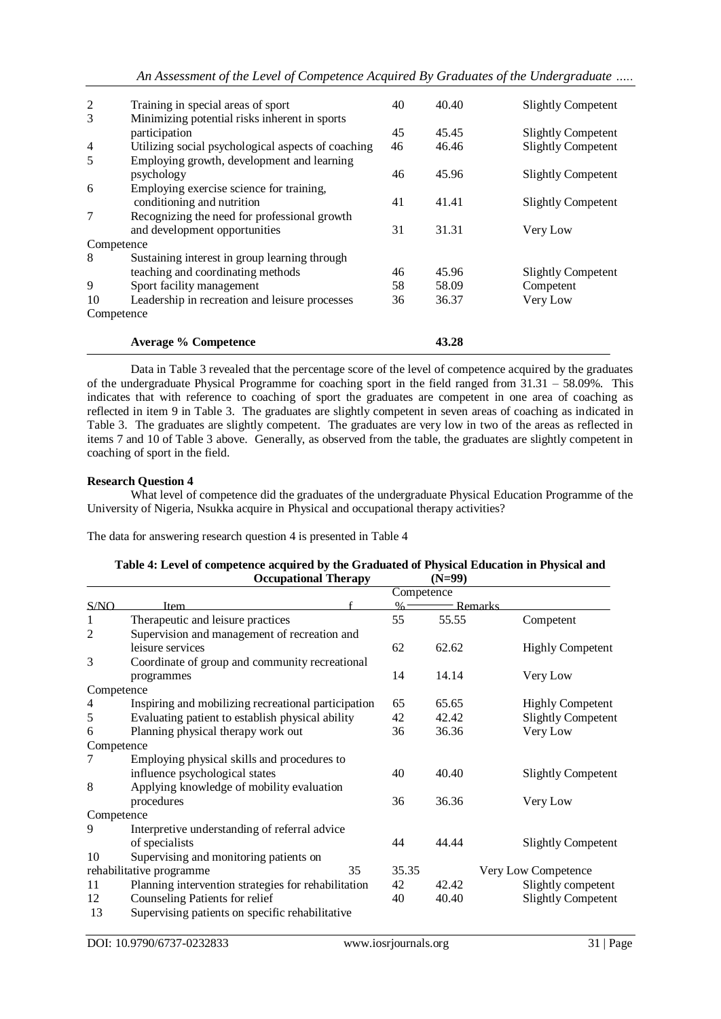| 2          | Training in special areas of sport                 | 40 | 40.40 | <b>Slightly Competent</b> |
|------------|----------------------------------------------------|----|-------|---------------------------|
| 3          | Minimizing potential risks inherent in sports      |    |       |                           |
|            | participation                                      | 45 | 45.45 | <b>Slightly Competent</b> |
| 4          | Utilizing social psychological aspects of coaching | 46 | 46.46 | <b>Slightly Competent</b> |
| 5          | Employing growth, development and learning         |    |       |                           |
|            | psychology                                         | 46 | 45.96 | <b>Slightly Competent</b> |
| 6          | Employing exercise science for training,           |    |       |                           |
|            | conditioning and nutrition                         | 41 | 41.41 | <b>Slightly Competent</b> |
| 7          | Recognizing the need for professional growth       |    |       |                           |
|            | and development opportunities                      | 31 | 31.31 | Very Low                  |
| Competence |                                                    |    |       |                           |
| 8          | Sustaining interest in group learning through      |    |       |                           |
|            | teaching and coordinating methods                  | 46 | 45.96 | <b>Slightly Competent</b> |
| 9          | Sport facility management                          | 58 | 58.09 | Competent                 |
| 10         | Leadership in recreation and leisure processes     | 36 | 36.37 | Very Low                  |
| Competence |                                                    |    |       |                           |
|            | <b>Average % Competence</b>                        |    | 43.28 |                           |

Data in Table 3 revealed that the percentage score of the level of competence acquired by the graduates of the undergraduate Physical Programme for coaching sport in the field ranged from  $31.31 - 58.09\%$ . This indicates that with reference to coaching of sport the graduates are competent in one area of coaching as reflected in item 9 in Table 3. The graduates are slightly competent in seven areas of coaching as indicated in Table 3. The graduates are slightly competent. The graduates are very low in two of the areas as reflected in items 7 and 10 of Table 3 above. Generally, as observed from the table, the graduates are slightly competent in coaching of sport in the field.

## **Research Question 4**

What level of competence did the graduates of the undergraduate Physical Education Programme of the University of Nigeria, Nsukka acquire in Physical and occupational therapy activities?

The data for answering research question 4 is presented in Table 4

#### Table 4: Level of competence acquired by the Graduated of Physical Education in Physical and<br> **Compational Therany** (N=99) **Occupational Therapy**

|            |                                                     | Competence |         |                           |
|------------|-----------------------------------------------------|------------|---------|---------------------------|
| S/NO       | Item                                                | $\%$       | Remarks |                           |
| 1          | Therapeutic and leisure practices                   | 55         | 55.55   | Competent                 |
| 2          | Supervision and management of recreation and        |            |         |                           |
|            | leisure services                                    | 62         | 62.62   | <b>Highly Competent</b>   |
| 3          | Coordinate of group and community recreational      |            |         |                           |
|            | programmes                                          | 14         | 14.14   | Very Low                  |
| Competence |                                                     |            |         |                           |
| 4          | Inspiring and mobilizing recreational participation | 65         | 65.65   | <b>Highly Competent</b>   |
| 5          | Evaluating patient to establish physical ability    | 42         | 42.42   | <b>Slightly Competent</b> |
| 6          | Planning physical therapy work out                  | 36         | 36.36   | Very Low                  |
| Competence |                                                     |            |         |                           |
| 7          | Employing physical skills and procedures to         |            |         |                           |
|            | influence psychological states                      | 40         | 40.40   | <b>Slightly Competent</b> |
| 8          | Applying knowledge of mobility evaluation           |            |         |                           |
|            | procedures                                          | 36         | 36.36   | Very Low                  |
| Competence |                                                     |            |         |                           |
| 9          | Interpretive understanding of referral advice       |            |         |                           |
|            | of specialists                                      | 44         | 44.44   | <b>Slightly Competent</b> |
| 10         | Supervising and monitoring patients on              |            |         |                           |
|            | 35<br>rehabilitative programme                      | 35.35      |         | Very Low Competence       |
| 11         | Planning intervention strategies for rehabilitation | 42         | 42.42   | Slightly competent        |
| 12         | Counseling Patients for relief                      | 40         | 40.40   | <b>Slightly Competent</b> |
| 13         | Supervising patients on specific rehabilitative     |            |         |                           |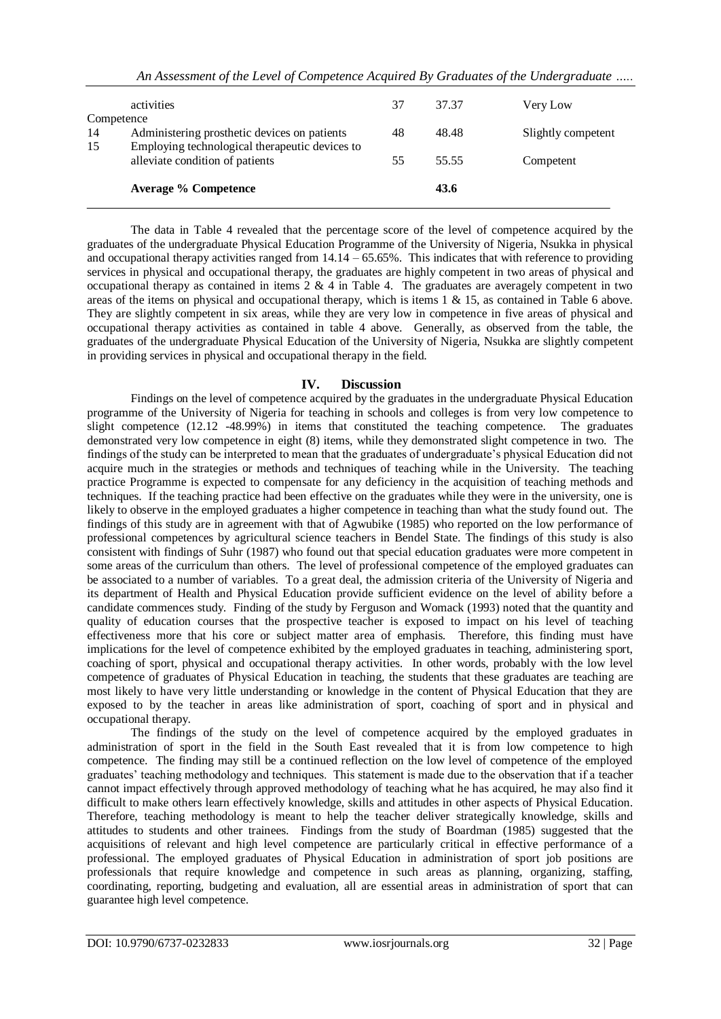|                  | <b>Average % Competence</b>                                                       |    | 43.6  |                    |
|------------------|-----------------------------------------------------------------------------------|----|-------|--------------------|
| 15               | Employing technological therapeutic devices to<br>alleviate condition of patients | 55 | 55.55 | Competent          |
| Competence<br>14 | Administering prosthetic devices on patients                                      | 48 | 48.48 | Slightly competent |
|                  | activities                                                                        | 37 | 37.37 | Very Low           |

The data in Table 4 revealed that the percentage score of the level of competence acquired by the graduates of the undergraduate Physical Education Programme of the University of Nigeria, Nsukka in physical and occupational therapy activities ranged from  $14.14 - 65.65\%$ . This indicates that with reference to providing services in physical and occupational therapy, the graduates are highly competent in two areas of physical and occupational therapy as contained in items 2 & 4 in Table 4. The graduates are averagely competent in two areas of the items on physical and occupational therapy, which is items 1 & 15, as contained in Table 6 above. They are slightly competent in six areas, while they are very low in competence in five areas of physical and occupational therapy activities as contained in table 4 above. Generally, as observed from the table, the graduates of the undergraduate Physical Education of the University of Nigeria, Nsukka are slightly competent in providing services in physical and occupational therapy in the field.

## **IV. Discussion**

Findings on the level of competence acquired by the graduates in the undergraduate Physical Education programme of the University of Nigeria for teaching in schools and colleges is from very low competence to slight competence (12.12 -48.99%) in items that constituted the teaching competence. The graduates demonstrated very low competence in eight (8) items, while they demonstrated slight competence in two. The findings of the study can be interpreted to mean that the graduates of undergraduate's physical Education did not acquire much in the strategies or methods and techniques of teaching while in the University. The teaching practice Programme is expected to compensate for any deficiency in the acquisition of teaching methods and techniques. If the teaching practice had been effective on the graduates while they were in the university, one is likely to observe in the employed graduates a higher competence in teaching than what the study found out. The findings of this study are in agreement with that of Agwubike (1985) who reported on the low performance of professional competences by agricultural science teachers in Bendel State. The findings of this study is also consistent with findings of Suhr (1987) who found out that special education graduates were more competent in some areas of the curriculum than others. The level of professional competence of the employed graduates can be associated to a number of variables. To a great deal, the admission criteria of the University of Nigeria and its department of Health and Physical Education provide sufficient evidence on the level of ability before a candidate commences study. Finding of the study by Ferguson and Womack (1993) noted that the quantity and quality of education courses that the prospective teacher is exposed to impact on his level of teaching effectiveness more that his core or subject matter area of emphasis. Therefore, this finding must have implications for the level of competence exhibited by the employed graduates in teaching, administering sport, coaching of sport, physical and occupational therapy activities. In other words, probably with the low level competence of graduates of Physical Education in teaching, the students that these graduates are teaching are most likely to have very little understanding or knowledge in the content of Physical Education that they are exposed to by the teacher in areas like administration of sport, coaching of sport and in physical and occupational therapy.

The findings of the study on the level of competence acquired by the employed graduates in administration of sport in the field in the South East revealed that it is from low competence to high competence. The finding may still be a continued reflection on the low level of competence of the employed graduates' teaching methodology and techniques. This statement is made due to the observation that if a teacher cannot impact effectively through approved methodology of teaching what he has acquired, he may also find it difficult to make others learn effectively knowledge, skills and attitudes in other aspects of Physical Education. Therefore, teaching methodology is meant to help the teacher deliver strategically knowledge, skills and attitudes to students and other trainees. Findings from the study of Boardman (1985) suggested that the acquisitions of relevant and high level competence are particularly critical in effective performance of a professional. The employed graduates of Physical Education in administration of sport job positions are professionals that require knowledge and competence in such areas as planning, organizing, staffing, coordinating, reporting, budgeting and evaluation, all are essential areas in administration of sport that can guarantee high level competence.